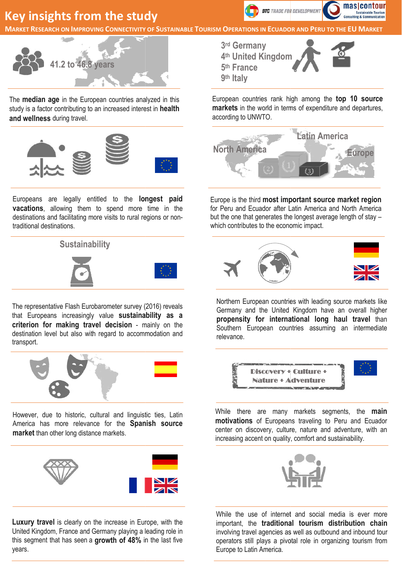### **Key insights from the study**



**Key insights from the study Sustainable Tourism OPERATIONS IN ECUADOR AND** 



The **median age** in the European countries analyzed in this study is a factor contributing to an increased interest in health and wellness during travel.



Europeans are legally entitled to the longest paid vacations, allowing them to spend more time in the destinations and facilitating more visits to rural regions or nontraditional destinations.



The representative Flash Eurobarometer survey (2016) reveals that Europeans increasingly value sustainability as a criterion for making travel decision - mainly on the destination level but also with regard to accommodation and transport.



However, due to historic, cultural and linguistic ties, Latin America has more relevance for the **Spanish source** market than other long distance markets.



Luxury travel is clearly on the increase in Europe, with the United Kingdom, France and Germany playing a leading role in this segment that has seen a **growth of 48%** in the last five years.



European countries rank high among the top 10 source markets in the world in terms of expenditure and departures, according to UNWTO.



Europe is the third most important source market region for Peru and Ecuador after Latin America and North America for Peru and Ecuador after Latin America and North America<br>but the one that generates the longest average length of stay – which contributes to the economic impact.



Northern European countries with leading source markets like Germany and the United Kingdom have an overall higher propensity for international long haul travel than Southern European countries assuming an intermediate relevance.



While there are many markets segments, the main motivations of Europeans traveling to Peru and Ecuador center on discovery, culture, nature and adventure, with an increasing accent on quality, comfort and sustainability.



While the use of internet and social media is ever more important, the traditional tourism distribution chain involving travel agencies as well as outbound and inbound tour operators still plays a pivotal role in organizing tourism from Europe to Latin America.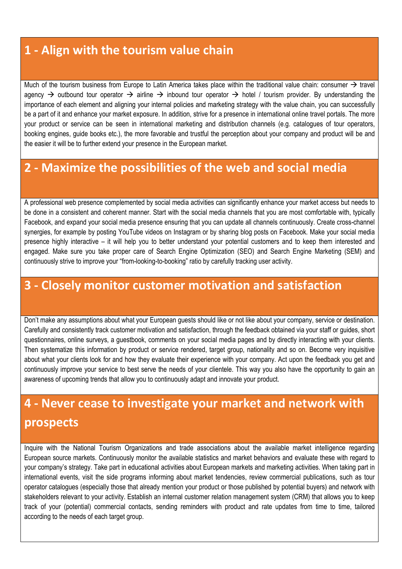#### **1 - Align with the tourism value chain**

Much of the tourism business from Europe to Latin America takes place within the traditional value chain: consumer  $\rightarrow$  travel agency  $\rightarrow$  outbound tour operator  $\rightarrow$  airline  $\rightarrow$  inbound tour operator  $\rightarrow$  hotel / tourism provider. By understanding the importance of each element and aligning your internal policies and marketing strategy with the value chain, you can successfully be a part of it and enhance your market exposure. In addition, strive for a presence in international online travel portals. The more your product or service can be seen in international marketing and distribution channels (e.g. catalogues of tour operators, booking engines, guide books etc.), the more favorable and trustful the perception about your company and product will be and the easier it will be to further extend your presence in the European market.

#### **2 - Maximize the possibilities of the web and social media**

A professional web presence complemented by social media activities can significantly enhance your market access but needs to be done in a consistent and coherent manner. Start with the social media channels that you are most comfortable with, typically Facebook, and expand your social media presence ensuring that you can update all channels continuously. Create cross-channel synergies, for example by posting YouTube videos on Instagram or by sharing blog posts on Facebook. Make your social media presence highly interactive – it will help you to better understand your potential customers and to keep them interested and engaged. Make sure you take proper care of Search Engine Optimization (SEO) and Search Engine Marketing (SEM) and continuously strive to improve your "from-looking-to-booking" ratio by carefully tracking user activity.

#### **3 - Closely monitor customer motivation and satisfaction**

Don't make any assumptions about what your European guests should like or not like about your company, service or destination. Carefully and consistently track customer motivation and satisfaction, through the feedback obtained via your staff or guides, short questionnaires, online surveys, a guestbook, comments on your social media pages and by directly interacting with your clients. Then systematize this information by product or service rendered, target group, nationality and so on. Become very inquisitive about what your clients look for and how they evaluate their experience with your company. Act upon the feedback you get and continuously improve your service to best serve the needs of your clientele. This way you also have the opportunity to gain an awareness of upcoming trends that allow you to continuously adapt and innovate your product.

# **4 - Never cease to investigate your market and network with prospects**

Inquire with the National Tourism Organizations and trade associations about the available market intelligence regarding European source markets. Continuously monitor the available statistics and market behaviors and evaluate these with regard to your company's strategy. Take part in educational activities about European markets and marketing activities. When taking part in international events, visit the side programs informing about market tendencies, review commercial publications, such as tour operator catalogues (especially those that already mention your product or those published by potential buyers) and network with stakeholders relevant to your activity. Establish an internal customer relation management system (CRM) that allows you to keep track of your (potential) commercial contacts, sending reminders with product and rate updates from time to time, tailored according to the needs of each target group.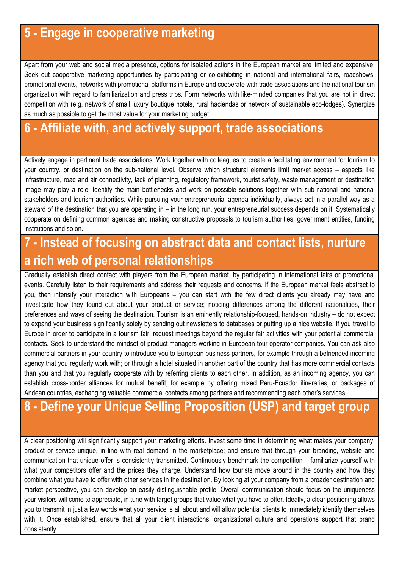### 5 - Engage in cooperative marketing

Apart from your web and social media presence, options for isolated actions in the European market are limited and expensive. Seek out cooperative marketing opportunities by participating or co-exhibiting in national and international fairs, roadshows, promotional events, networks with promotional platforms in Europe and cooperate with trade associations and the national tourism organization with regard to familiarization and press trips. Form networks with like-minded companies that you are not in direct competition with (e.g. network of small luxury boutique hotels, rural haciendas or network of sustainable eco-lodges). Synergize as much as possible to get the most value for your marketing budget.

### 6 - Affiliate with, and actively support, trade associations

Actively engage in pertinent trade associations. Work together with colleagues to create a facilitating environment for tourism to your country, or destination on the sub-national level. Observe which structural elements limit market access – aspects like infrastructure, road and air connectivity, lack of planning, regulatory framework, tourist safety, waste management or destination image may play a role. Identify the main bottlenecks and work on possible solutions together with sub-national and national stakeholders and tourism authorities. While pursuing your entrepreneurial agenda individually, always act in a parallel way as a steward of the destination that you are operating in – in the long run, your entrepreneurial success depends on it! Systematically cooperate on defining common agendas and making constructive proposals to tourism authorities, government entities, funding institutions and so on.

# 7 - Instead of focusing on abstract data and contact lists, nurture a rich web of personal relationships

Gradually establish direct contact with players from the European market, by participating in international fairs or promotional events. Carefully listen to their requirements and address their requests and concerns. If the European market feels abstract to you, then intensify your interaction with Europeans – you can start with the few direct clients you already may have and investigate how they found out about your product or service; noticing differences among the different nationalities, their preferences and ways of seeing the destination. Tourism is an eminently relationship-focused, hands-on industry – do not expect to expand your business significantly solely by sending out newsletters to databases or putting up a nice website. If you travel to Europe in order to participate in a tourism fair, request meetings beyond the regular fair activities with your potential commercial contacts. Seek to understand the mindset of product managers working in European tour operator companies. You can ask also commercial partners in your country to introduce you to European business partners, for example through a befriended incoming agency that you regularly work with; or through a hotel situated in another part of the country that has more commercial contacts than you and that you regularly cooperate with by referring clients to each other. In addition, as an incoming agency, you can establish cross-border alliances for mutual benefit, for example by offering mixed Peru-Ecuador itineraries, or packages of Andean countries, exchanging valuable commercial contacts among partners and recommending each other's services.

## 8 - Define your Unique Selling Proposition (USP) and target group

A clear positioning will significantly support your marketing efforts. Invest some time in determining what makes your company, product or service unique, in line with real demand in the marketplace; and ensure that through your branding, website and communication that unique offer is consistently transmitted. Continuously benchmark the competition – familiarize yourself with what your competitors offer and the prices they charge. Understand how tourists move around in the country and how they combine what you have to offer with other services in the destination. By looking at your company from a broader destination and market perspective, you can develop an easily distinguishable profile. Overall communication should focus on the uniqueness your visitors will come to appreciate, in tune with target groups that value what you have to offer. Ideally, a clear positioning allows you to transmit in just a few words what your service is all about and will allow potential clients to immediately identify themselves with it. Once established, ensure that all your client interactions, organizational culture and operations support that brand consistently.